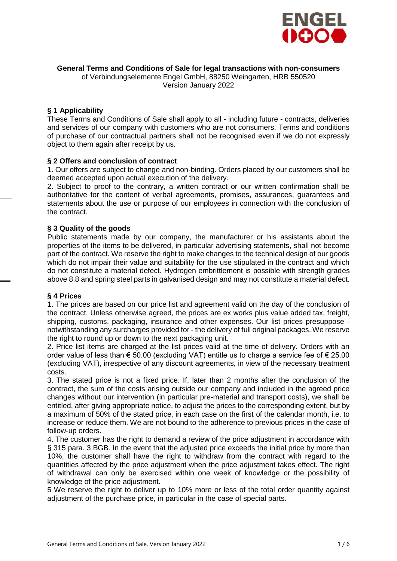

#### **General Terms and Conditions of Sale for legal transactions with non-consumers**

of Verbindungselemente Engel GmbH, 88250 Weingarten, HRB 550520

Version January 2022

# **§ 1 Applicability**

These Terms and Conditions of Sale shall apply to all - including future - contracts, deliveries and services of our company with customers who are not consumers. Terms and conditions of purchase of our contractual partners shall not be recognised even if we do not expressly object to them again after receipt by us.

### **§ 2 Offers and conclusion of contract**

1. Our offers are subject to change and non-binding. Orders placed by our customers shall be deemed accepted upon actual execution of the delivery.

2. Subject to proof to the contrary, a written contract or our written confirmation shall be authoritative for the content of verbal agreements, promises, assurances, guarantees and statements about the use or purpose of our employees in connection with the conclusion of the contract.

### **§ 3 Quality of the goods**

Public statements made by our company, the manufacturer or his assistants about the properties of the items to be delivered, in particular advertising statements, shall not become part of the contract. We reserve the right to make changes to the technical design of our goods which do not impair their value and suitability for the use stipulated in the contract and which do not constitute a material defect. Hydrogen embrittlement is possible with strength grades above 8.8 and spring steel parts in galvanised design and may not constitute a material defect.

### **§ 4 Prices**

1. The prices are based on our price list and agreement valid on the day of the conclusion of the contract. Unless otherwise agreed, the prices are ex works plus value added tax, freight, shipping, customs, packaging, insurance and other expenses. Our list prices presuppose notwithstanding any surcharges provided for - the delivery of full original packages. We reserve the right to round up or down to the next packaging unit.

2. Price list items are charged at the list prices valid at the time of delivery. Orders with an order value of less than  $\epsilon$  50.00 (excluding VAT) entitle us to charge a service fee of  $\epsilon$  25.00 (excluding VAT), irrespective of any discount agreements, in view of the necessary treatment costs.

3. The stated price is not a fixed price. If, later than 2 months after the conclusion of the contract, the sum of the costs arising outside our company and included in the agreed price changes without our intervention (in particular pre-material and transport costs), we shall be entitled, after giving appropriate notice, to adjust the prices to the corresponding extent, but by a maximum of 50% of the stated price, in each case on the first of the calendar month, i.e. to increase or reduce them. We are not bound to the adherence to previous prices in the case of follow-up orders.

4. The customer has the right to demand a review of the price adjustment in accordance with § 315 para. 3 BGB. In the event that the adjusted price exceeds the initial price by more than 10%, the customer shall have the right to withdraw from the contract with regard to the quantities affected by the price adjustment when the price adjustment takes effect. The right of withdrawal can only be exercised within one week of knowledge or the possibility of knowledge of the price adjustment.

5 We reserve the right to deliver up to 10% more or less of the total order quantity against adjustment of the purchase price, in particular in the case of special parts.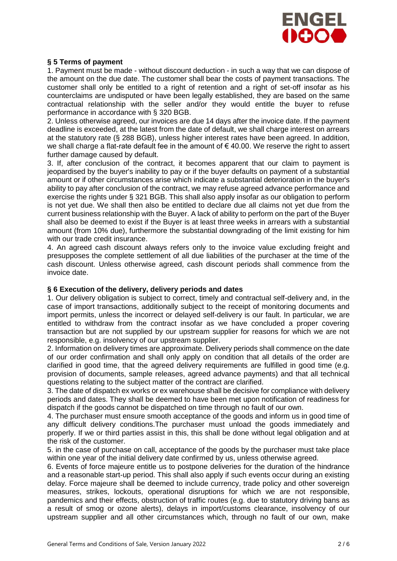

# **§ 5 Terms of payment**

1. Payment must be made - without discount deduction - in such a way that we can dispose of the amount on the due date. The customer shall bear the costs of payment transactions. The customer shall only be entitled to a right of retention and a right of set-off insofar as his counterclaims are undisputed or have been legally established, they are based on the same contractual relationship with the seller and/or they would entitle the buyer to refuse performance in accordance with § 320 BGB.

2. Unless otherwise agreed, our invoices are due 14 days after the invoice date. If the payment deadline is exceeded, at the latest from the date of default, we shall charge interest on arrears at the statutory rate (§ 288 BGB), unless higher interest rates have been agreed. In addition, we shall charge a flat-rate default fee in the amount of  $\epsilon$  40.00. We reserve the right to assert further damage caused by default.

3. If, after conclusion of the contract, it becomes apparent that our claim to payment is jeopardised by the buyer's inability to pay or if the buyer defaults on payment of a substantial amount or if other circumstances arise which indicate a substantial deterioration in the buyer's ability to pay after conclusion of the contract, we may refuse agreed advance performance and exercise the rights under § 321 BGB. This shall also apply insofar as our obligation to perform is not yet due. We shall then also be entitled to declare due all claims not yet due from the current business relationship with the Buyer. A lack of ability to perform on the part of the Buyer shall also be deemed to exist if the Buyer is at least three weeks in arrears with a substantial amount (from 10% due), furthermore the substantial downgrading of the limit existing for him with our trade credit insurance.

4. An agreed cash discount always refers only to the invoice value excluding freight and presupposes the complete settlement of all due liabilities of the purchaser at the time of the cash discount. Unless otherwise agreed, cash discount periods shall commence from the invoice date.

### **§ 6 Execution of the delivery, delivery periods and dates**

1. Our delivery obligation is subject to correct, timely and contractual self-delivery and, in the case of import transactions, additionally subject to the receipt of monitoring documents and import permits, unless the incorrect or delayed self-delivery is our fault. In particular, we are entitled to withdraw from the contract insofar as we have concluded a proper covering transaction but are not supplied by our upstream supplier for reasons for which we are not responsible, e.g. insolvency of our upstream supplier.

2. Information on delivery times are approximate. Delivery periods shall commence on the date of our order confirmation and shall only apply on condition that all details of the order are clarified in good time, that the agreed delivery requirements are fulfilled in good time (e.g. provision of documents, sample releases, agreed advance payments) and that all technical questions relating to the subject matter of the contract are clarified.

3. The date of dispatch ex works or ex warehouse shall be decisive for compliance with delivery periods and dates. They shall be deemed to have been met upon notification of readiness for dispatch if the goods cannot be dispatched on time through no fault of our own.

4. The purchaser must ensure smooth acceptance of the goods and inform us in good time of any difficult delivery conditions.The purchaser must unload the goods immediately and properly. If we or third parties assist in this, this shall be done without legal obligation and at the risk of the customer.

5. in the case of purchase on call, acceptance of the goods by the purchaser must take place within one year of the initial delivery date confirmed by us, unless otherwise agreed.

6. Events of force majeure entitle us to postpone deliveries for the duration of the hindrance and a reasonable start-up period. This shall also apply if such events occur during an existing delay. Force majeure shall be deemed to include currency, trade policy and other sovereign measures, strikes, lockouts, operational disruptions for which we are not responsible, pandemics and their effects, obstruction of traffic routes (e.g. due to statutory driving bans as a result of smog or ozone alerts), delays in import/customs clearance, insolvency of our upstream supplier and all other circumstances which, through no fault of our own, make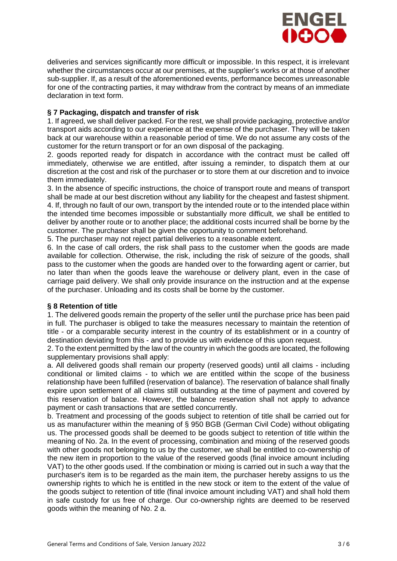

deliveries and services significantly more difficult or impossible. In this respect, it is irrelevant whether the circumstances occur at our premises, at the supplier's works or at those of another sub-supplier. If, as a result of the aforementioned events, performance becomes unreasonable for one of the contracting parties, it may withdraw from the contract by means of an immediate declaration in text form.

# **§ 7 Packaging, dispatch and transfer of risk**

1. If agreed, we shall deliver packed. For the rest, we shall provide packaging, protective and/or transport aids according to our experience at the expense of the purchaser. They will be taken back at our warehouse within a reasonable period of time. We do not assume any costs of the customer for the return transport or for an own disposal of the packaging.

2. goods reported ready for dispatch in accordance with the contract must be called off immediately, otherwise we are entitled, after issuing a reminder, to dispatch them at our discretion at the cost and risk of the purchaser or to store them at our discretion and to invoice them immediately.

3. In the absence of specific instructions, the choice of transport route and means of transport shall be made at our best discretion without any liability for the cheapest and fastest shipment. 4. If, through no fault of our own, transport by the intended route or to the intended place within the intended time becomes impossible or substantially more difficult, we shall be entitled to deliver by another route or to another place; the additional costs incurred shall be borne by the customer. The purchaser shall be given the opportunity to comment beforehand.

5. The purchaser may not reject partial deliveries to a reasonable extent.

6. In the case of call orders, the risk shall pass to the customer when the goods are made available for collection. Otherwise, the risk, including the risk of seizure of the goods, shall pass to the customer when the goods are handed over to the forwarding agent or carrier, but no later than when the goods leave the warehouse or delivery plant, even in the case of carriage paid delivery. We shall only provide insurance on the instruction and at the expense of the purchaser. Unloading and its costs shall be borne by the customer.

### **§ 8 Retention of title**

1. The delivered goods remain the property of the seller until the purchase price has been paid in full. The purchaser is obliged to take the measures necessary to maintain the retention of title - or a comparable security interest in the country of its establishment or in a country of destination deviating from this - and to provide us with evidence of this upon request.

2. To the extent permitted by the law of the country in which the goods are located, the following supplementary provisions shall apply:

a. All delivered goods shall remain our property (reserved goods) until all claims - including conditional or limited claims - to which we are entitled within the scope of the business relationship have been fulfilled (reservation of balance). The reservation of balance shall finally expire upon settlement of all claims still outstanding at the time of payment and covered by this reservation of balance. However, the balance reservation shall not apply to advance payment or cash transactions that are settled concurrently.

b. Treatment and processing of the goods subject to retention of title shall be carried out for us as manufacturer within the meaning of § 950 BGB (German Civil Code) without obligating us. The processed goods shall be deemed to be goods subject to retention of title within the meaning of No. 2a. In the event of processing, combination and mixing of the reserved goods with other goods not belonging to us by the customer, we shall be entitled to co-ownership of the new item in proportion to the value of the reserved goods (final invoice amount including VAT) to the other goods used. If the combination or mixing is carried out in such a way that the purchaser's item is to be regarded as the main item, the purchaser hereby assigns to us the ownership rights to which he is entitled in the new stock or item to the extent of the value of the goods subject to retention of title (final invoice amount including VAT) and shall hold them in safe custody for us free of charge. Our co-ownership rights are deemed to be reserved goods within the meaning of No. 2 a.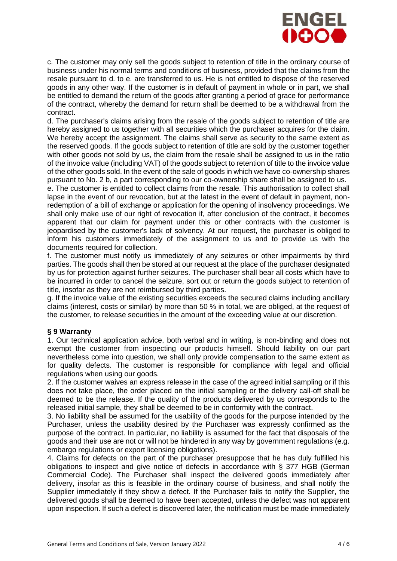

c. The customer may only sell the goods subject to retention of title in the ordinary course of business under his normal terms and conditions of business, provided that the claims from the resale pursuant to d. to e. are transferred to us. He is not entitled to dispose of the reserved goods in any other way. If the customer is in default of payment in whole or in part, we shall be entitled to demand the return of the goods after granting a period of grace for performance of the contract, whereby the demand for return shall be deemed to be a withdrawal from the contract.

d. The purchaser's claims arising from the resale of the goods subject to retention of title are hereby assigned to us together with all securities which the purchaser acquires for the claim. We hereby accept the assignment. The claims shall serve as security to the same extent as the reserved goods. If the goods subject to retention of title are sold by the customer together with other goods not sold by us, the claim from the resale shall be assigned to us in the ratio of the invoice value (including VAT) of the goods subject to retention of title to the invoice value of the other goods sold. In the event of the sale of goods in which we have co-ownership shares pursuant to No. 2 b, a part corresponding to our co-ownership share shall be assigned to us.

e. The customer is entitled to collect claims from the resale. This authorisation to collect shall lapse in the event of our revocation, but at the latest in the event of default in payment, nonredemption of a bill of exchange or application for the opening of insolvency proceedings. We shall only make use of our right of revocation if, after conclusion of the contract, it becomes apparent that our claim for payment under this or other contracts with the customer is jeopardised by the customer's lack of solvency. At our request, the purchaser is obliged to inform his customers immediately of the assignment to us and to provide us with the documents required for collection.

f. The customer must notify us immediately of any seizures or other impairments by third parties. The goods shall then be stored at our request at the place of the purchaser designated by us for protection against further seizures. The purchaser shall bear all costs which have to be incurred in order to cancel the seizure, sort out or return the goods subject to retention of title, insofar as they are not reimbursed by third parties.

g. If the invoice value of the existing securities exceeds the secured claims including ancillary claims (interest, costs or similar) by more than 50 % in total, we are obliged, at the request of the customer, to release securities in the amount of the exceeding value at our discretion.

### **§ 9 Warranty**

1. Our technical application advice, both verbal and in writing, is non-binding and does not exempt the customer from inspecting our products himself. Should liability on our part nevertheless come into question, we shall only provide compensation to the same extent as for quality defects. The customer is responsible for compliance with legal and official regulations when using our goods.

2. If the customer waives an express release in the case of the agreed initial sampling or if this does not take place, the order placed on the initial sampling or the delivery call-off shall be deemed to be the release. If the quality of the products delivered by us corresponds to the released initial sample, they shall be deemed to be in conformity with the contract.

3. No liability shall be assumed for the usability of the goods for the purpose intended by the Purchaser, unless the usability desired by the Purchaser was expressly confirmed as the purpose of the contract. In particular, no liability is assumed for the fact that disposals of the goods and their use are not or will not be hindered in any way by government regulations (e.g. embargo regulations or export licensing obligations).

4. Claims for defects on the part of the purchaser presuppose that he has duly fulfilled his obligations to inspect and give notice of defects in accordance with § 377 HGB (German Commercial Code). The Purchaser shall inspect the delivered goods immediately after delivery, insofar as this is feasible in the ordinary course of business, and shall notify the Supplier immediately if they show a defect. If the Purchaser fails to notify the Supplier, the delivered goods shall be deemed to have been accepted, unless the defect was not apparent upon inspection. If such a defect is discovered later, the notification must be made immediately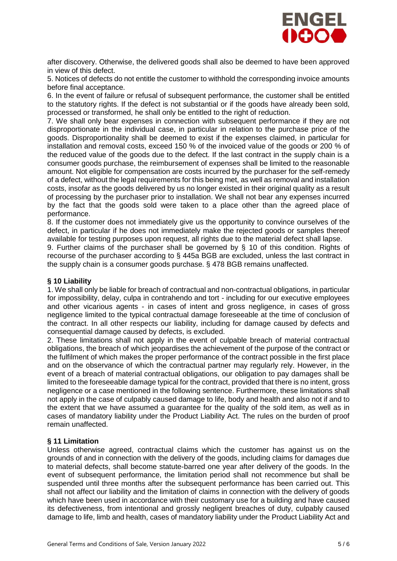

after discovery. Otherwise, the delivered goods shall also be deemed to have been approved in view of this defect.

5. Notices of defects do not entitle the customer to withhold the corresponding invoice amounts before final acceptance.

6. In the event of failure or refusal of subsequent performance, the customer shall be entitled to the statutory rights. If the defect is not substantial or if the goods have already been sold, processed or transformed, he shall only be entitled to the right of reduction.

7. We shall only bear expenses in connection with subsequent performance if they are not disproportionate in the individual case, in particular in relation to the purchase price of the goods. Disproportionality shall be deemed to exist if the expenses claimed, in particular for installation and removal costs, exceed 150 % of the invoiced value of the goods or 200 % of the reduced value of the goods due to the defect. If the last contract in the supply chain is a consumer goods purchase, the reimbursement of expenses shall be limited to the reasonable amount. Not eligible for compensation are costs incurred by the purchaser for the self-remedy of a defect, without the legal requirements for this being met, as well as removal and installation costs, insofar as the goods delivered by us no longer existed in their original quality as a result of processing by the purchaser prior to installation. We shall not bear any expenses incurred by the fact that the goods sold were taken to a place other than the agreed place of performance.

8. If the customer does not immediately give us the opportunity to convince ourselves of the defect, in particular if he does not immediately make the rejected goods or samples thereof available for testing purposes upon request, all rights due to the material defect shall lapse.

9. Further claims of the purchaser shall be governed by § 10 of this condition. Rights of recourse of the purchaser according to § 445a BGB are excluded, unless the last contract in the supply chain is a consumer goods purchase. § 478 BGB remains unaffected.

### **§ 10 Liability**

1. We shall only be liable for breach of contractual and non-contractual obligations, in particular for impossibility, delay, culpa in contrahendo and tort - including for our executive employees and other vicarious agents - in cases of intent and gross negligence, in cases of gross negligence limited to the typical contractual damage foreseeable at the time of conclusion of the contract. In all other respects our liability, including for damage caused by defects and consequential damage caused by defects, is excluded.

2. These limitations shall not apply in the event of culpable breach of material contractual obligations, the breach of which jeopardises the achievement of the purpose of the contract or the fulfilment of which makes the proper performance of the contract possible in the first place and on the observance of which the contractual partner may regularly rely. However, in the event of a breach of material contractual obligations, our obligation to pay damages shall be limited to the foreseeable damage typical for the contract, provided that there is no intent, gross negligence or a case mentioned in the following sentence. Furthermore, these limitations shall not apply in the case of culpably caused damage to life, body and health and also not if and to the extent that we have assumed a guarantee for the quality of the sold item, as well as in cases of mandatory liability under the Product Liability Act. The rules on the burden of proof remain unaffected.

### **§ 11 Limitation**

Unless otherwise agreed, contractual claims which the customer has against us on the grounds of and in connection with the delivery of the goods, including claims for damages due to material defects, shall become statute-barred one year after delivery of the goods. In the event of subsequent performance, the limitation period shall not recommence but shall be suspended until three months after the subsequent performance has been carried out. This shall not affect our liability and the limitation of claims in connection with the delivery of goods which have been used in accordance with their customary use for a building and have caused its defectiveness, from intentional and grossly negligent breaches of duty, culpably caused damage to life, limb and health, cases of mandatory liability under the Product Liability Act and